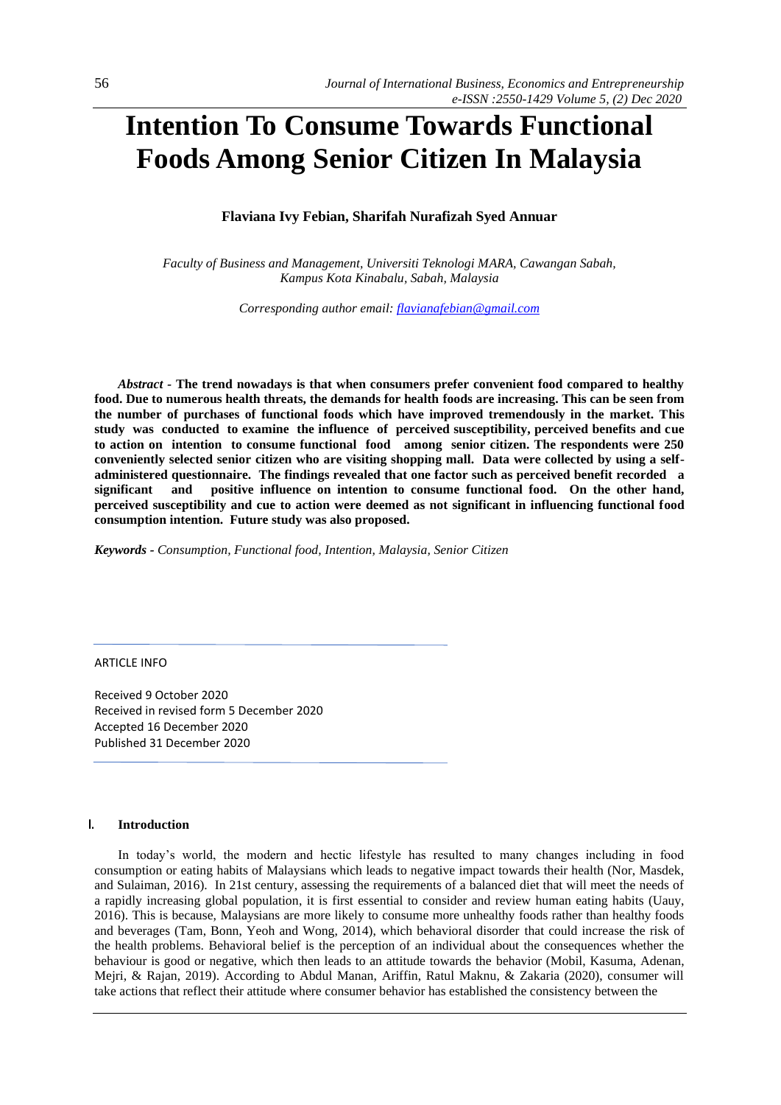# **Intention To Consume Towards Functional Foods Among Senior Citizen In Malaysia**

# **Flaviana Ivy Febian, Sharifah Nurafizah Syed Annuar**

*Faculty of Business and Management, Universiti Teknologi MARA, Cawangan Sabah, Kampus Kota Kinabalu, Sabah, Malaysia*

*Corresponding author email: [flavianafebian@gmail.com](mailto:flavianafebian@gmail.com)*

*Abstract -* **The trend nowadays is that when consumers prefer convenient food compared to healthy food. Due to numerous health threats, the demands for health foods are increasing. This can be seen from the number of purchases of functional foods which have improved tremendously in the market. This study was conducted to examine the influence of perceived susceptibility, perceived benefits and cue to action on intention to consume functional food among senior citizen. The respondents were 250 conveniently selected senior citizen who are visiting shopping mall. Data were collected by using a selfadministered questionnaire. The findings revealed that one factor such as perceived benefit recorded a significant and positive influence on intention to consume functional food. On the other hand, perceived susceptibility and cue to action were deemed as not significant in influencing functional food consumption intention. Future study was also proposed.**

*Keywords - Consumption, Functional food, Intention, Malaysia, Senior Citizen*

ARTICLE INFO

Received 9 October 2020 Received in revised form 5 December 2020 Accepted 16 December 2020 Published 31 December 2020

#### **I. Introduction**

In today's world, the modern and hectic lifestyle has resulted to many changes including in food consumption or eating habits of Malaysians which leads to negative impact towards their health (Nor, Masdek, and Sulaiman, 2016). In 21st century, assessing the requirements of a balanced diet that will meet the needs of a rapidly increasing global population, it is first essential to consider and review human eating habits (Uauy, 2016). This is because, Malaysians are more likely to consume more unhealthy foods rather than healthy foods and beverages (Tam, Bonn, Yeoh and Wong, 2014), which behavioral disorder that could increase the risk of the health problems. Behavioral belief is the perception of an individual about the consequences whether the behaviour is good or negative, which then leads to an attitude towards the behavior (Mobil, Kasuma, Adenan, Mejri, & Rajan, 2019). According to Abdul Manan, Ariffin, Ratul Maknu, & Zakaria (2020), consumer will take actions that reflect their attitude where consumer behavior has established the consistency between the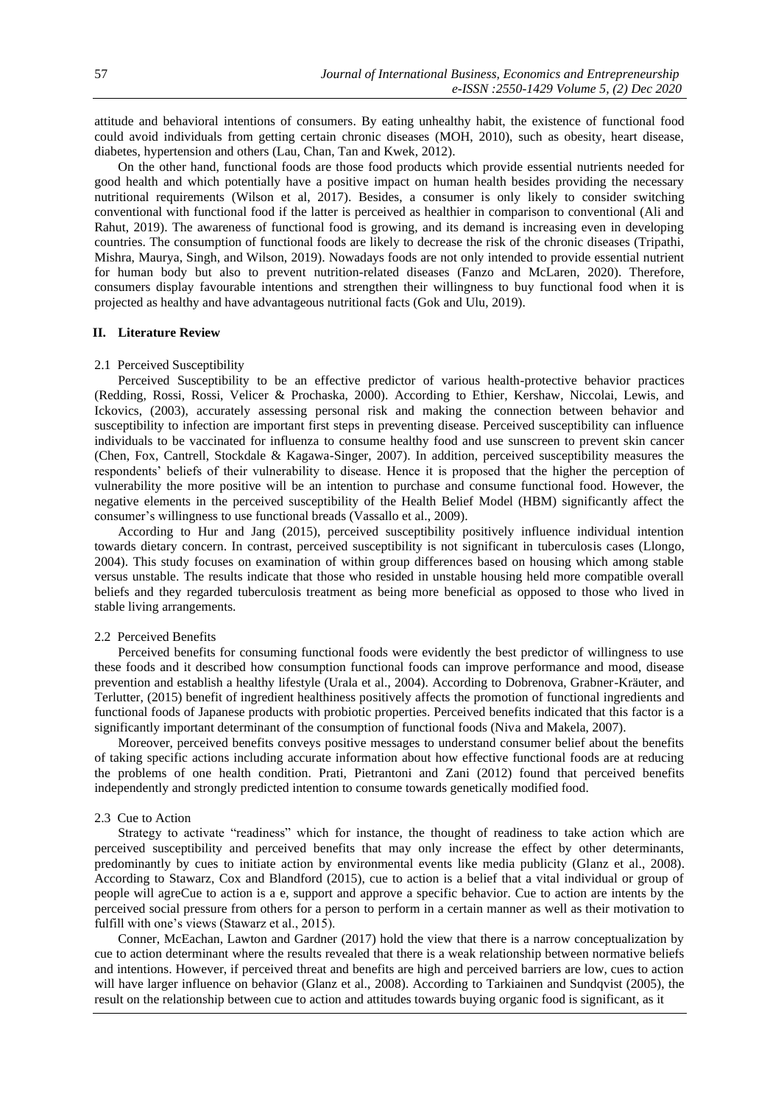attitude and behavioral intentions of consumers. By eating unhealthy habit, the existence of functional food could avoid individuals from getting certain chronic diseases (MOH, 2010), such as obesity, heart disease, diabetes, hypertension and others (Lau, Chan, Tan and Kwek, 2012).

On the other hand, functional foods are those food products which provide essential nutrients needed for good health and which potentially have a positive impact on human health besides providing the necessary nutritional requirements (Wilson et al, 2017). Besides, a consumer is only likely to consider switching conventional with functional food if the latter is perceived as healthier in comparison to conventional (Ali and Rahut, 2019). The awareness of functional food is growing, and its demand is increasing even in developing countries. The consumption of functional foods are likely to decrease the risk of the chronic diseases (Tripathi, Mishra, Maurya, Singh, and Wilson, 2019). Nowadays foods are not only intended to provide essential nutrient for human body but also to prevent nutrition-related diseases (Fanzo and McLaren, 2020). Therefore, consumers display favourable intentions and strengthen their willingness to buy functional food when it is projected as healthy and have advantageous nutritional facts (Gok and Ulu, 2019).

#### **II. Literature Review**

## 2.1 Perceived Susceptibility

Perceived Susceptibility to be an effective predictor of various health-protective behavior practices (Redding, Rossi, Rossi, Velicer & Prochaska, 2000). According to Ethier, Kershaw, Niccolai, Lewis, and Ickovics, (2003), accurately assessing personal risk and making the connection between behavior and susceptibility to infection are important first steps in preventing disease. Perceived susceptibility can influence individuals to be vaccinated for influenza to consume healthy food and use sunscreen to prevent skin cancer (Chen, Fox, Cantrell, Stockdale & Kagawa-Singer, 2007). In addition, perceived susceptibility measures the respondents' beliefs of their vulnerability to disease. Hence it is proposed that the higher the perception of vulnerability the more positive will be an intention to purchase and consume functional food. However, the negative elements in the perceived susceptibility of the Health Belief Model (HBM) significantly affect the consumer's willingness to use functional breads (Vassallo et al., 2009).

According to Hur and Jang (2015), perceived susceptibility positively influence individual intention towards dietary concern. In contrast, perceived susceptibility is not significant in tuberculosis cases (Llongo, 2004). This study focuses on examination of within group differences based on housing which among stable versus unstable. The results indicate that those who resided in unstable housing held more compatible overall beliefs and they regarded tuberculosis treatment as being more beneficial as opposed to those who lived in stable living arrangements.

### 2.2 Perceived Benefits

Perceived benefits for consuming functional foods were evidently the best predictor of willingness to use these foods and it described how consumption functional foods can improve performance and mood, disease prevention and establish a healthy lifestyle (Urala et al., 2004). According to Dobrenova, Grabner-Kräuter, and Terlutter, (2015) benefit of ingredient healthiness positively affects the promotion of functional ingredients and functional foods of Japanese products with probiotic properties. Perceived benefits indicated that this factor is a significantly important determinant of the consumption of functional foods (Niva and Makela, 2007).

Moreover, perceived benefits conveys positive messages to understand consumer belief about the benefits of taking specific actions including accurate information about how effective functional foods are at reducing the problems of one health condition. Prati, Pietrantoni and Zani (2012) found that perceived benefits independently and strongly predicted intention to consume towards genetically modified food.

#### 2.3 Cue to Action

Strategy to activate "readiness" which for instance, the thought of readiness to take action which are perceived susceptibility and perceived benefits that may only increase the effect by other determinants, predominantly by cues to initiate action by environmental events like media publicity (Glanz et al., 2008). According to Stawarz, Cox and Blandford (2015), cue to action is a belief that a vital individual or group of people will agreCue to action is a e, support and approve a specific behavior. Cue to action are intents by the perceived social pressure from others for a person to perform in a certain manner as well as their motivation to fulfill with one's views (Stawarz et al., 2015).

Conner, McEachan, Lawton and Gardner (2017) hold the view that there is a narrow conceptualization by cue to action determinant where the results revealed that there is a weak relationship between normative beliefs and intentions. However, if perceived threat and benefits are high and perceived barriers are low, cues to action will have larger influence on behavior (Glanz et al., 2008). According to Tarkiainen and Sundqvist (2005), the result on the relationship between cue to action and attitudes towards buying organic food is significant, as it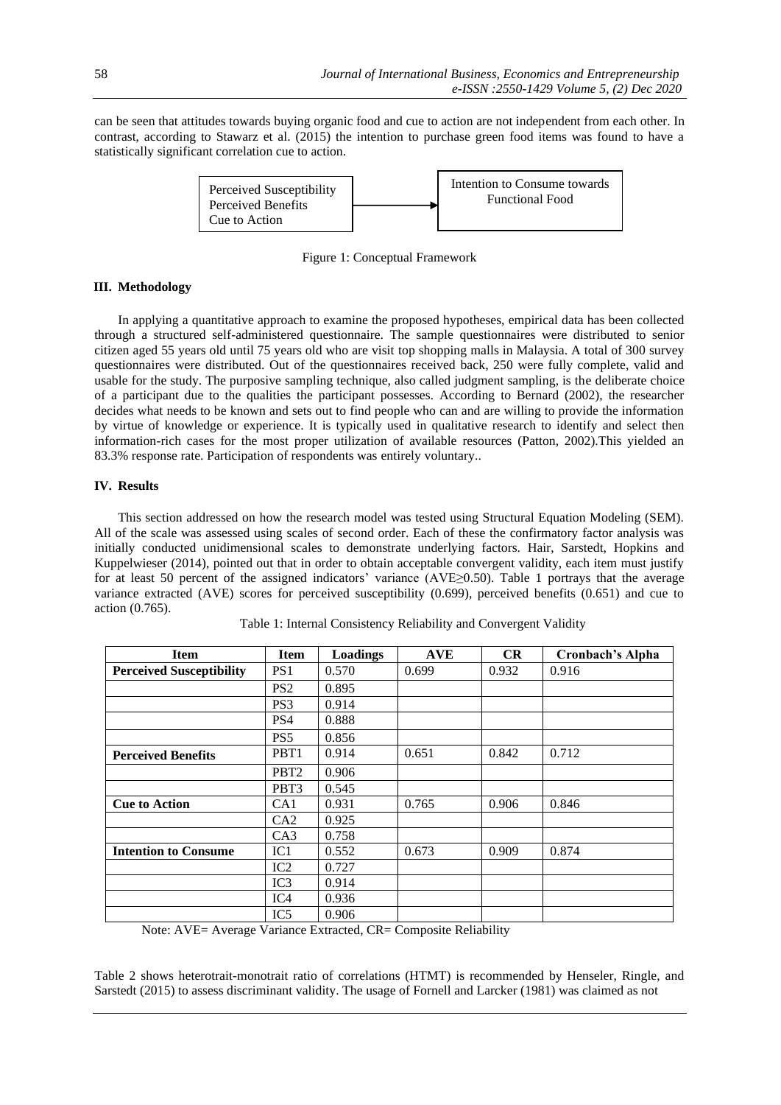can be seen that attitudes towards buying organic food and cue to action are not independent from each other. In contrast, according to Stawarz et al. (2015) the intention to purchase green food items was found to have a statistically significant correlation cue to action.



Figure 1: Conceptual Framework

# **III. Methodology**

In applying a quantitative approach to examine the proposed hypotheses, empirical data has been collected through a structured self-administered questionnaire. The sample questionnaires were distributed to senior citizen aged 55 years old until 75 years old who are visit top shopping malls in Malaysia. A total of 300 survey questionnaires were distributed. Out of the questionnaires received back, 250 were fully complete, valid and usable for the study. The purposive sampling technique, also called judgment sampling, is the deliberate choice of a participant due to the qualities the participant possesses. According to Bernard (2002), the researcher decides what needs to be known and sets out to find people who can and are willing to provide the information by virtue of knowledge or experience. It is typically used in qualitative research to identify and select then information-rich cases for the most proper utilization of available resources (Patton, 2002).This yielded an 83.3% response rate. Participation of respondents was entirely voluntary..

# **IV. Results**

This section addressed on how the research model was tested using Structural Equation Modeling (SEM). All of the scale was assessed using scales of second order. Each of these the confirmatory factor analysis was initially conducted unidimensional scales to demonstrate underlying factors. Hair, Sarstedt, Hopkins and Kuppelwieser (2014), pointed out that in order to obtain acceptable convergent validity, each item must justify for at least 50 percent of the assigned indicators' variance (AVE≥0.50). Table 1 portrays that the average variance extracted (AVE) scores for perceived susceptibility (0.699), perceived benefits (0.651) and cue to action (0.765).

| <b>Item</b>                     | <b>Item</b>      | <b>Loadings</b> | <b>AVE</b> | CR    | Cronbach's Alpha |
|---------------------------------|------------------|-----------------|------------|-------|------------------|
| <b>Perceived Susceptibility</b> | PS <sub>1</sub>  | 0.570           | 0.699      | 0.932 | 0.916            |
|                                 | PS <sub>2</sub>  | 0.895           |            |       |                  |
|                                 | PS <sub>3</sub>  | 0.914           |            |       |                  |
|                                 | PS4              | 0.888           |            |       |                  |
|                                 | PS <sub>5</sub>  | 0.856           |            |       |                  |
| <b>Perceived Benefits</b>       | PBT1             | 0.914           | 0.651      | 0.842 | 0.712            |
|                                 | PBT <sub>2</sub> | 0.906           |            |       |                  |
|                                 | PBT3             | 0.545           |            |       |                  |
| <b>Cue to Action</b>            | CA1              | 0.931           | 0.765      | 0.906 | 0.846            |
|                                 | CA2              | 0.925           |            |       |                  |
|                                 | CA <sub>3</sub>  | 0.758           |            |       |                  |
| <b>Intention to Consume</b>     | IC1              | 0.552           | 0.673      | 0.909 | 0.874            |
|                                 | IC2              | 0.727           |            |       |                  |
|                                 | IC3              | 0.914           |            |       |                  |
|                                 | IC4              | 0.936           |            |       |                  |
|                                 | IC <sub>5</sub>  | 0.906           |            |       |                  |

Table 1: Internal Consistency Reliability and Convergent Validity

Note: AVE= Average Variance Extracted, CR= Composite Reliability

Table 2 shows heterotrait-monotrait ratio of correlations (HTMT) is recommended by Henseler, Ringle, and Sarstedt (2015) to assess discriminant validity. The usage of Fornell and Larcker (1981) was claimed as not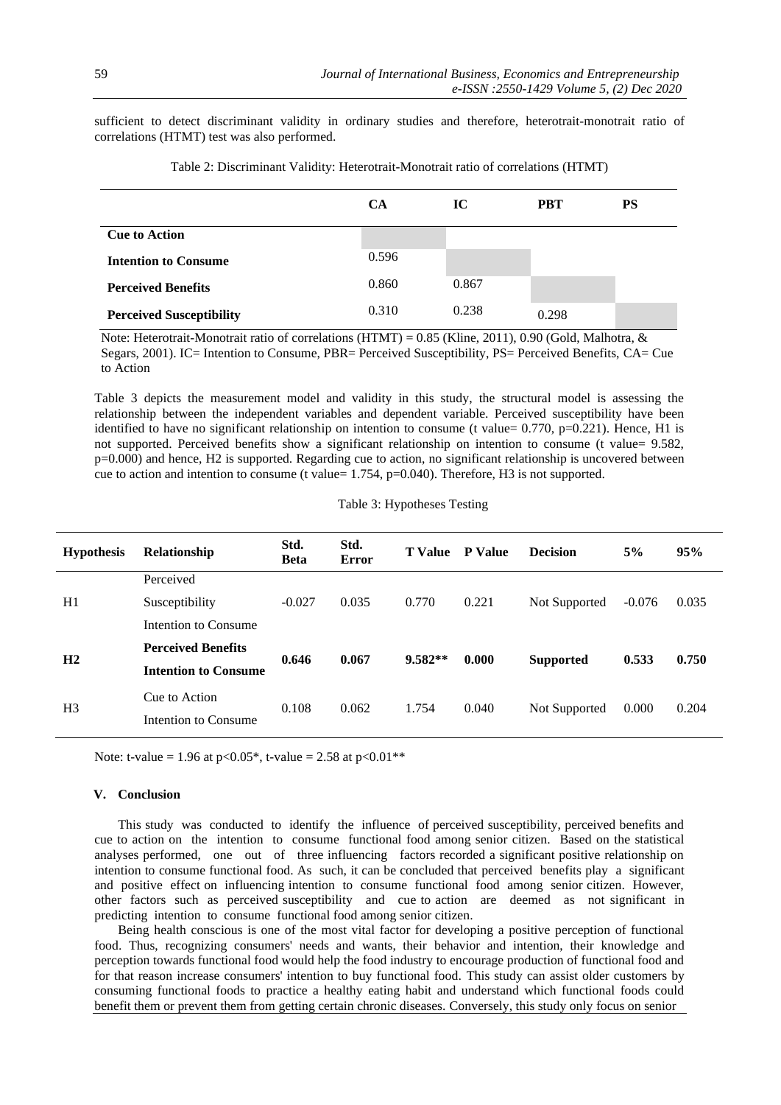sufficient to detect discriminant validity in ordinary studies and therefore, heterotrait-monotrait ratio of correlations (HTMT) test was also performed.

|                                 | <b>CA</b> | IC    | <b>PBT</b> | <b>PS</b> |
|---------------------------------|-----------|-------|------------|-----------|
| <b>Cue to Action</b>            |           |       |            |           |
| <b>Intention to Consume</b>     | 0.596     |       |            |           |
| <b>Perceived Benefits</b>       | 0.860     | 0.867 |            |           |
| <b>Perceived Susceptibility</b> | 0.310     | 0.238 | 0.298      |           |

Table 2: Discriminant Validity: Heterotrait-Monotrait ratio of correlations (HTMT)

 Note: Heterotrait-Monotrait ratio of correlations (HTMT) = 0.85 (Kline, 2011), 0.90 (Gold, Malhotra, & Segars, 2001). IC= Intention to Consume, PBR= Perceived Susceptibility, PS= Perceived Benefits, CA= Cue to Action

Table 3 depicts the measurement model and validity in this study, the structural model is assessing the relationship between the independent variables and dependent variable. Perceived susceptibility have been identified to have no significant relationship on intention to consume (t value= 0.770, p=0.221). Hence, H1 is not supported. Perceived benefits show a significant relationship on intention to consume (t value= 9.582, p=0.000) and hence, H2 is supported. Regarding cue to action, no significant relationship is uncovered between cue to action and intention to consume (t value= 1.754, p=0.040). Therefore, H3 is not supported.

|  |  | Table 3: Hypotheses Testing |  |
|--|--|-----------------------------|--|
|--|--|-----------------------------|--|

| <b>Hypothesis</b> | Relationship                | Std.<br><b>Beta</b> | Std.<br>Error | <b>T</b> Value | <b>P</b> Value | <b>Decision</b>  | 5%       | 95%   |
|-------------------|-----------------------------|---------------------|---------------|----------------|----------------|------------------|----------|-------|
| H1                | Perceived                   |                     |               |                |                |                  |          |       |
|                   | Susceptibility              | $-0.027$            | 0.035         | 0.770          | 0.221          | Not Supported    | $-0.076$ | 0.035 |
|                   | Intention to Consume        |                     |               |                |                |                  |          |       |
| H <sub>2</sub>    | <b>Perceived Benefits</b>   |                     | 0.067         | $9.582**$      |                | <b>Supported</b> | 0.533    | 0.750 |
|                   | <b>Intention to Consume</b> | 0.646               |               |                | 0.000          |                  |          |       |
| H <sub>3</sub>    | Cue to Action               |                     | 0.062         | 1.754          | 0.040          | Not Supported    | 0.000    | 0.204 |
|                   | Intention to Consume        | 0.108               |               |                |                |                  |          |       |

Note: t-value = 1.96 at p<0.05\*, t-value = 2.58 at p<0.01\*\*

#### **V. Conclusion**

This study was conducted to identify the influence of perceived susceptibility, perceived benefits and cue to action on the intention to consume functional food among senior citizen. Based on the statistical analyses performed, one out of three influencing factors recorded a significant positive relationship on intention to consume functional food. As such, it can be concluded that perceived benefits play a significant and positive effect on influencing intention to consume functional food among senior citizen. However, other factors such as perceived susceptibility and cue to action are deemed as not significant in predicting intention to consume functional food among senior citizen.

Being health conscious is one of the most vital factor for developing a positive perception of functional food. Thus, recognizing consumers' needs and wants, their behavior and intention, their knowledge and perception towards functional food would help the food industry to encourage production of functional food and for that reason increase consumers' intention to buy functional food. This study can assist older customers by consuming functional foods to practice a healthy eating habit and understand which functional foods could benefit them or prevent them from getting certain chronic diseases. Conversely, this study only focus on senior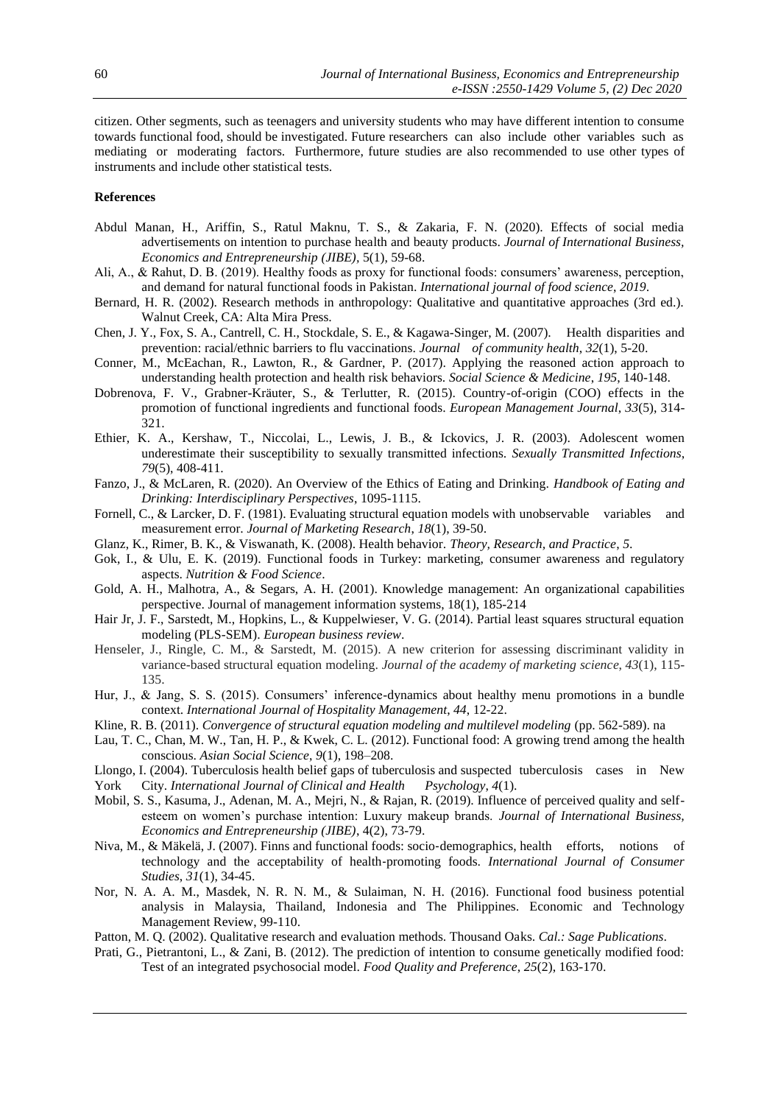citizen. Other segments, such as teenagers and university students who may have different intention to consume towards functional food, should be investigated. Future researchers can also include other variables such as mediating or moderating factors. Furthermore, future studies are also recommended to use other types of instruments and include other statistical tests.

# **References**

- Abdul Manan, H., Ariffin, S., Ratul Maknu, T. S., & Zakaria, F. N. (2020). Effects of social media advertisements on intention to purchase health and beauty products. *Journal of International Business, Economics and Entrepreneurship (JIBE),* 5(1), 59-68.
- Ali, A., & Rahut, D. B. (2019). Healthy foods as proxy for functional foods: consumers' awareness, perception, and demand for natural functional foods in Pakistan. *International journal of food science*, *2019*.
- Bernard, H. R. (2002). Research methods in anthropology: Qualitative and quantitative approaches (3rd ed.). Walnut Creek, CA: Alta Mira Press.
- Chen, J. Y., Fox, S. A., Cantrell, C. H., Stockdale, S. E., & Kagawa-Singer, M. (2007). Health disparities and prevention: racial/ethnic barriers to flu vaccinations. *Journal of community health*, *32*(1), 5-20.
- Conner, M., McEachan, R., Lawton, R., & Gardner, P. (2017). Applying the reasoned action approach to understanding health protection and health risk behaviors. *Social Science & Medicine*, *195*, 140-148.
- Dobrenova, F. V., Grabner-Kräuter, S., & Terlutter, R. (2015). Country-of-origin (COO) effects in the promotion of functional ingredients and functional foods. *European Management Journal*, *33*(5), 314- 321.
- Ethier, K. A., Kershaw, T., Niccolai, L., Lewis, J. B., & Ickovics, J. R. (2003). Adolescent women underestimate their susceptibility to sexually transmitted infections. *Sexually Transmitted Infections*, *79*(5), 408-411.
- Fanzo, J., & McLaren, R. (2020). An Overview of the Ethics of Eating and Drinking. *Handbook of Eating and Drinking: Interdisciplinary Perspectives*, 1095-1115.
- Fornell, C., & Larcker, D. F. (1981). Evaluating structural equation models with unobservable variables and measurement error. *Journal of Marketing Research*, *18*(1), 39-50.
- Glanz, K., Rimer, B. K., & Viswanath, K. (2008). Health behavior. *Theory, Research, and Practice*, *5*.
- Gok, I., & Ulu, E. K. (2019). Functional foods in Turkey: marketing, consumer awareness and regulatory aspects. *Nutrition & Food Science*.
- Gold, A. H., Malhotra, A., & Segars, A. H. (2001). Knowledge management: An organizational capabilities perspective. Journal of management information systems, 18(1), 185-214
- Hair Jr, J. F., Sarstedt, M., Hopkins, L., & Kuppelwieser, V. G. (2014). Partial least squares structural equation modeling (PLS-SEM). *European business review*.
- Henseler, J., Ringle, C. M., & Sarstedt, M. (2015). A new criterion for assessing discriminant validity in variance-based structural equation modeling. *Journal of the academy of marketing science*, *43*(1), 115- 135.
- Hur, J., & Jang, S. S. (2015). Consumers' inference-dynamics about healthy menu promotions in a bundle context. *International Journal of Hospitality Management*, *44*, 12-22.
- Kline, R. B. (2011). *Convergence of structural equation modeling and multilevel modeling* (pp. 562-589). na
- Lau, T. C., Chan, M. W., Tan, H. P., & Kwek, C. L. (2012). Functional food: A growing trend among the health conscious. *Asian Social Science*, *9*(1), 198–208.
- Llongo, I. (2004). Tuberculosis health belief gaps of tuberculosis and suspected tuberculosis cases in New
- York City. *International Journal of Clinical and Health Psychology*, *4*(1).
- Mobil, S. S., Kasuma, J., Adenan, M. A., Mejri, N., & Rajan, R. (2019). Influence of perceived quality and selfesteem on women's purchase intention: Luxury makeup brands. *Journal of International Business, Economics and Entrepreneurship (JIBE)*, 4(2), 73-79.
- Niva, M., & Mäkelä, J. (2007). Finns and functional foods: socio‐demographics, health efforts, notions of technology and the acceptability of health‐promoting foods. *International Journal of Consumer Studies*, *31*(1), 34-45.
- Nor, N. A. A. M., Masdek, N. R. N. M., & Sulaiman, N. H. (2016). Functional food business potential analysis in Malaysia, Thailand, Indonesia and The Philippines. Economic and Technology Management Review, 99-110.
- Patton, M. Q. (2002). Qualitative research and evaluation methods. Thousand Oaks. *Cal.: Sage Publications*.
- Prati, G., Pietrantoni, L., & Zani, B. (2012). The prediction of intention to consume genetically modified food: Test of an integrated psychosocial model. *Food Quality and Preference*, *25*(2), 163-170.